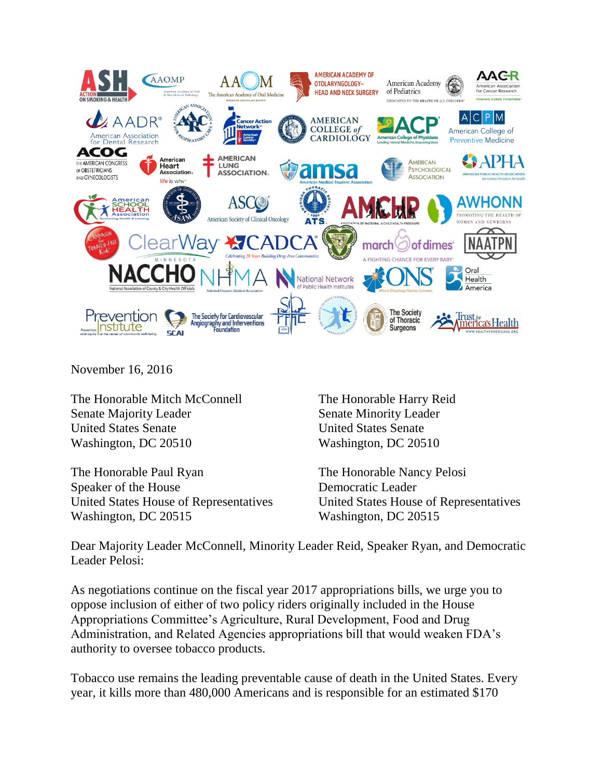

November 16, 2016

The Honorable Mitch McConnell Senate Majority Leader United States Senate Washington, DC 20510

The Honorable Paul Ryan Speaker of the House United States House of Representatives Washington, DC 20515

The Honorable Harry Reid Senate Minority Leader United States Senate Washington, DC 20510

The Honorable Nancy Pelosi Democratic Leader United States House of Representatives Washington, DC 20515

Dear Majority Leader McConnell, Minority Leader Reid, Speaker Ryan, and Democratic Leader Pelosi:

As negotiations continue on the fiscal year 2017 appropriations bills, we urge you to oppose inclusion of either of two policy riders originally included in the House Appropriations Committee's Agriculture, Rural Development, Food and Drug Administration, and Related Agencies appropriations bill that would weaken FDA's authority to oversee tobacco products.

Tobacco use remains the leading preventable cause of death in the United States. Every year, it kills more than 480,000 Americans and is responsible for an estimated \$170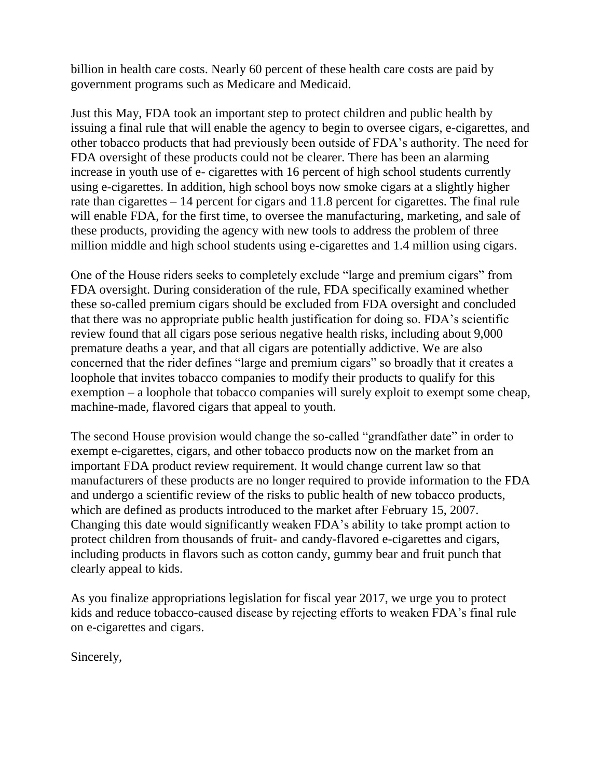billion in health care costs. Nearly 60 percent of these health care costs are paid by government programs such as Medicare and Medicaid.

Just this May, FDA took an important step to protect children and public health by issuing a final rule that will enable the agency to begin to oversee cigars, e-cigarettes, and other tobacco products that had previously been outside of FDA's authority. The need for FDA oversight of these products could not be clearer. There has been an alarming increase in youth use of e- cigarettes with 16 percent of high school students currently using e-cigarettes. In addition, high school boys now smoke cigars at a slightly higher rate than cigarettes – 14 percent for cigars and 11.8 percent for cigarettes. The final rule will enable FDA, for the first time, to oversee the manufacturing, marketing, and sale of these products, providing the agency with new tools to address the problem of three million middle and high school students using e-cigarettes and 1.4 million using cigars.

One of the House riders seeks to completely exclude "large and premium cigars" from FDA oversight. During consideration of the rule, FDA specifically examined whether these so-called premium cigars should be excluded from FDA oversight and concluded that there was no appropriate public health justification for doing so. FDA's scientific review found that all cigars pose serious negative health risks, including about 9,000 premature deaths a year, and that all cigars are potentially addictive. We are also concerned that the rider defines "large and premium cigars" so broadly that it creates a loophole that invites tobacco companies to modify their products to qualify for this exemption – a loophole that tobacco companies will surely exploit to exempt some cheap, machine-made, flavored cigars that appeal to youth.

The second House provision would change the so-called "grandfather date" in order to exempt e-cigarettes, cigars, and other tobacco products now on the market from an important FDA product review requirement. It would change current law so that manufacturers of these products are no longer required to provide information to the FDA and undergo a scientific review of the risks to public health of new tobacco products, which are defined as products introduced to the market after February 15, 2007. Changing this date would significantly weaken FDA's ability to take prompt action to protect children from thousands of fruit- and candy-flavored e-cigarettes and cigars, including products in flavors such as cotton candy, gummy bear and fruit punch that clearly appeal to kids.

As you finalize appropriations legislation for fiscal year 2017, we urge you to protect kids and reduce tobacco-caused disease by rejecting efforts to weaken FDA's final rule on e-cigarettes and cigars.

Sincerely,